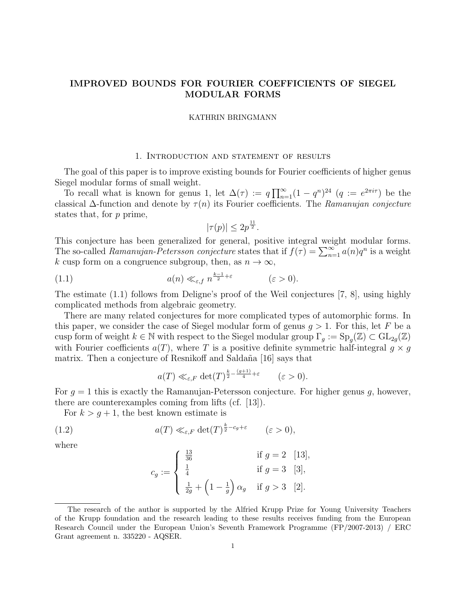# IMPROVED BOUNDS FOR FOURIER COEFFICIENTS OF SIEGEL MODULAR FORMS

#### KATHRIN BRINGMANN

## 1. Introduction and statement of results

The goal of this paper is to improve existing bounds for Fourier coefficients of higher genus Siegel modular forms of small weight.

To recall what is known for genus 1, let  $\Delta(\tau) := q \prod_{n=1}^{\infty} (1 - q^n)^{24}$   $(q := e^{2\pi i \tau})$  be the classical  $\Delta$ -function and denote by  $\tau(n)$  its Fourier coefficients. The Ramanujan conjecture states that, for p prime,

$$
|\tau(p)| \le 2p^{\frac{11}{2}}.
$$

This conjecture has been generalized for general, positive integral weight modular forms. The so-called Ramanujan-Petersson conjecture states that if  $f(\tau) = \sum_{n=1}^{\infty} a(n)q^n$  is a weight k cusp form on a congruence subgroup, then, as  $n \to \infty$ ,

(1.1) 
$$
a(n) \ll_{\varepsilon, f} n^{\frac{k-1}{2} + \varepsilon} \qquad (\varepsilon > 0).
$$

The estimate (1.1) follows from Deligne's proof of the Weil conjectures [7, 8], using highly complicated methods from algebraic geometry.

There are many related conjectures for more complicated types of automorphic forms. In this paper, we consider the case of Siegel modular form of genus  $g > 1$ . For this, let F be a cusp form of weight  $k \in \mathbb{N}$  with respect to the Siegel modular group  $\Gamma_g := \text{Sp}_g(\mathbb{Z}) \subset \text{GL}_{2g}(\mathbb{Z})$ with Fourier coefficients  $a(T)$ , where T is a positive definite symmetric half-integral  $g \times g$ matrix. Then a conjecture of Resnikoff and Saldaña [16] says that

$$
a(T) \ll_{\varepsilon,F} \det(T)^{\frac{k}{2} - \frac{(g+1)}{4} + \varepsilon} \qquad (\varepsilon > 0).
$$

For  $q = 1$  this is exactly the Ramanujan-Petersson conjecture. For higher genus q, however, there are counterexamples coming from lifts (cf. [13]).

For  $k > g + 1$ , the best known estimate is

(1.2) 
$$
a(T) \ll_{\varepsilon, F} \det(T)^{\frac{k}{2} - c_g + \varepsilon} \qquad (\varepsilon > 0),
$$

where

$$
c_g := \begin{cases} \frac{13}{36} & \text{if } g = 2 \quad [13], \\ \frac{1}{4} & \text{if } g = 3 \quad [3], \\ \frac{1}{2g} + \left(1 - \frac{1}{g}\right)\alpha_g & \text{if } g > 3 \quad [2]. \end{cases}
$$

The research of the author is supported by the Alfried Krupp Prize for Young University Teachers of the Krupp foundation and the research leading to these results receives funding from the European Research Council under the European Union's Seventh Framework Programme (FP/2007-2013) / ERC Grant agreement n. 335220 - AQSER.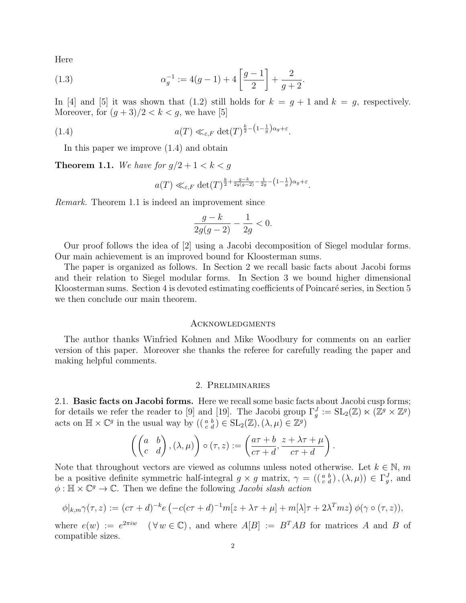Here

(1.3) 
$$
\alpha_g^{-1} := 4(g-1) + 4\left[\frac{g-1}{2}\right] + \frac{2}{g+2}.
$$

In [4] and [5] it was shown that (1.2) still holds for  $k = g + 1$  and  $k = g$ , respectively. Moreover, for  $(g+3)/2 < k < g$ , we have [5]

(1.4) 
$$
a(T) \ll_{\varepsilon, F} \det(T)^{\frac{k}{2} - \left(1 - \frac{1}{g}\right)\alpha_g + \varepsilon}.
$$

In this paper we improve (1.4) and obtain

**Theorem 1.1.** We have for  $g/2 + 1 < k < g$ 

$$
a(T) \ll_{\varepsilon,F} \det(T)^{\frac{k}{2} + \frac{g-k}{2g(g-2)} - \frac{1}{2g} - \left(1 - \frac{1}{g}\right)\alpha_g + \varepsilon}.
$$

Remark. Theorem 1.1 is indeed an improvement since

$$
\frac{g-k}{2g(g-2)} - \frac{1}{2g} < 0.
$$

Our proof follows the idea of [2] using a Jacobi decomposition of Siegel modular forms. Our main achievement is an improved bound for Kloosterman sums.

The paper is organized as follows. In Section 2 we recall basic facts about Jacobi forms and their relation to Siegel modular forms. In Section 3 we bound higher dimensional Kloosterman sums. Section 4 is devoted estimating coefficients of Poincaré series, in Section 5 we then conclude our main theorem.

#### Acknowledgments

The author thanks Winfried Kohnen and Mike Woodbury for comments on an earlier version of this paper. Moreover she thanks the referee for carefully reading the paper and making helpful comments.

### 2. Preliminaries

2.1. Basic facts on Jacobi forms. Here we recall some basic facts about Jacobi cusp forms; for details we refer the reader to [9] and [19]. The Jacobi group  $\Gamma_g^J := SL_2(\mathbb{Z}) \ltimes (\mathbb{Z}^g \times \mathbb{Z}^g)$ acts on  $\mathbb{H} \times \mathbb{C}^g$  in the usual way by  $((\begin{smallmatrix} a & b \\ c & d \end{smallmatrix}) \in SL_2(\mathbb{Z}), (\lambda, \mu) \in \mathbb{Z}^g)$ 

$$
\left(\begin{pmatrix} a & b \\ c & d \end{pmatrix}, (\lambda, \mu)\right) \circ (\tau, z) := \left(\frac{a\tau + b}{c\tau + d}, \frac{z + \lambda\tau + \mu}{c\tau + d}\right).
$$

Note that throughout vectors are viewed as columns unless noted otherwise. Let  $k \in \mathbb{N}$ , m be a positive definite symmetric half-integral  $g \times g$  matrix,  $\gamma = ((\begin{smallmatrix} a & b \\ c & d \end{smallmatrix}), (\lambda, \mu)) \in \Gamma_g^J$ , and  $\phi : \mathbb{H} \times \mathbb{C}^g \to \mathbb{C}$ . Then we define the following *Jacobi slash action* 

$$
\phi|_{k,m}\gamma(\tau,z):=(c\tau+d)^{-k}e\left(-c(c\tau+d)^{-1}m[z+\lambda\tau+\mu]+m[\lambda]\tau+2\lambda^{T}mz\right)\phi(\gamma\circ(\tau,z)),
$$

where  $e(w) := e^{2\pi i w}$  $(\forall w \in \mathbb{C})$ , and where  $A[B] := B^{T}AB$  for matrices A and B of compatible sizes.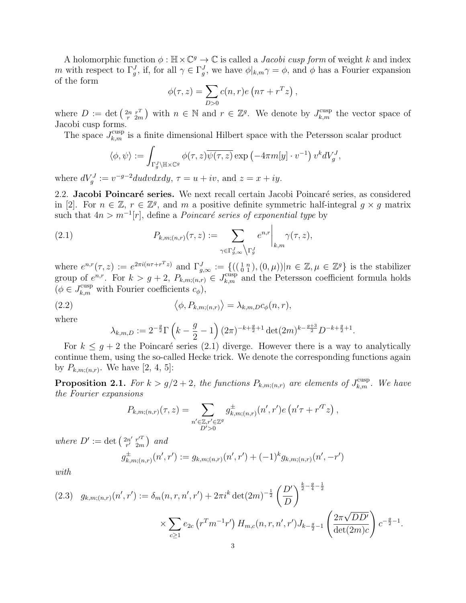A holomorphic function  $\phi : \mathbb{H} \times \mathbb{C}^g \to \mathbb{C}$  is called a *Jacobi cusp form* of weight k and index m with respect to  $\Gamma_g^J$ , if, for all  $\gamma \in \Gamma_g^J$ , we have  $\phi|_{k,m}\gamma = \phi$ , and  $\phi$  has a Fourier expansion of the form

$$
\phi(\tau, z) = \sum_{D>0} c(n, r) e\left(n\tau + r^T z\right),
$$

where  $D := \det \left( \frac{2n}{r} \frac{r^T}{2m} \right)$  with  $n \in \mathbb{N}$  and  $r \in \mathbb{Z}^g$ . We denote by  $J_{k,m}^{\text{cusp}}$  the vector space of Jacobi cusp forms.

The space  $J_{k,m}^{\text{cusp}}$  is a finite dimensional Hilbert space with the Petersson scalar product

$$
\langle \phi, \psi \rangle := \int_{\Gamma_g^J \backslash \mathbb{H} \times \mathbb{C}^g} \phi(\tau, z) \overline{\psi(\tau, z)} \exp \left(-4\pi m[y] \cdot v^{-1}\right) v^k dV_g^J,
$$

where  $dV_g^J := v^{-g-2}dudvdxdy$ ,  $\tau = u + iv$ , and  $z = x + iy$ .

2.2. Jacobi Poincaré series. We next recall certain Jacobi Poincaré series, as considered in [2]. For  $n \in \mathbb{Z}$ ,  $r \in \mathbb{Z}^g$ , and m a positive definite symmetric half-integral  $g \times g$  matrix such that  $4n > m^{-1}[r]$ , define a *Poincaré series of exponential type* by

(2.1) 
$$
P_{k,m;(n,r)}(\tau,z) := \sum_{\gamma \in \Gamma_{g,\infty}^J \backslash \Gamma_g^J} e^{n,r} \bigg|_{k,m} \gamma(\tau,z),
$$

where  $e^{n,r}(\tau,z) := e^{2\pi i (n\tau + r^T z)}$  and  $\Gamma_{g,\infty}^J := \{((\begin{smallmatrix} 1 & n \\ 0 & 1 \end{smallmatrix}), (0,\mu)) | n \in \mathbb{Z}, \mu \in \mathbb{Z}^g \}$  is the stabilizer group of  $e^{n,r}$ . For  $k > g+2$ ,  $P_{k,m;(n,r)} \in J_{k,m}^{\text{cusp}}$  and the Petersson coefficient formula holds  $(\phi \in J_{k,m}^{\text{cusp}}$  with Fourier coefficients  $c_{\phi}$ ),

(2.2) 
$$
\langle \phi, P_{k,m;(n,r)} \rangle = \lambda_{k,m,D} c_{\phi}(n,r),
$$

where

$$
\lambda_{k,m,D} := 2^{-\frac{g}{2}} \Gamma\left(k - \frac{g}{2} - 1\right) (2\pi)^{-k + \frac{g}{2} + 1} \det(2m)^{k - \frac{g+3}{2}} D^{-k + \frac{g}{2} + 1}.
$$

For  $k \leq g+2$  the Poincaré series (2.1) diverge. However there is a way to analytically continue them, using the so-called Hecke trick. We denote the corresponding functions again by  $P_{k,m;(n,r)}$ . We have [2, 4, 5]:

**Proposition 2.1.** For  $k > g/2 + 2$ , the functions  $P_{k,m;(n,r)}$  are elements of  $J_{k,m}^{\text{cusp}}$ . We have the Fourier expansions

$$
P_{k,m;(n,r)}(\tau,z) = \sum_{\substack{n' \in \mathbb{Z}, r' \in \mathbb{Z}^g \\ D' > 0}} g^{\pm}_{k,m;(n,r)}(n',r')e\left(n'\tau + r'^T z\right),
$$

where  $D' := \det \left( \frac{2n'}{r'} \frac{r'^T}{2m} \right)$  $\binom{2n'}{r'}\,\frac{r'^T}{2m}$  and

$$
g_{k,m;(n,r)}^{\pm}(n',r') := g_{k,m;(n,r)}(n',r') + (-1)^k g_{k,m;(n,r)}(n',-r')
$$

with

$$
(2.3) \quad g_{k,m;(n,r)}(n',r') := \delta_m(n,r,n',r') + 2\pi i^k \det(2m)^{-\frac{1}{2}} \left(\frac{D'}{D}\right)^{\frac{k}{2}-\frac{g}{4}-\frac{1}{2}}
$$

$$
\times \sum_{c\geq 1} e_{2c} \left(r^T m^{-1}r'\right) H_{m,c}(n,r,n',r') J_{k-\frac{g}{2}-1} \left(\frac{2\pi\sqrt{DD'}}{\det(2m)c}\right) c^{-\frac{g}{2}-1}.
$$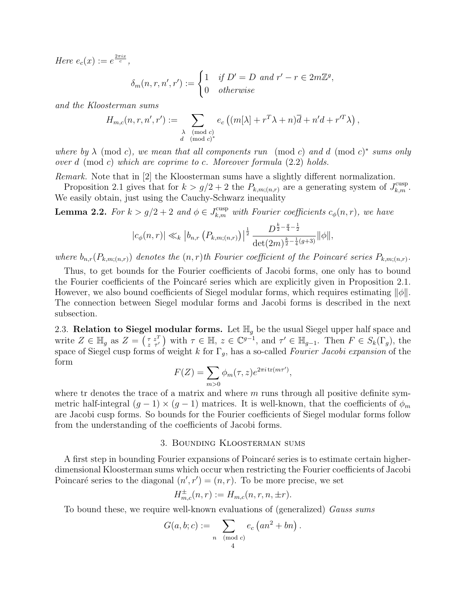Here  $e_c(x) := e^{\frac{2\pi ix}{c}},$ 

$$
\delta_m(n, r, n', r') := \begin{cases} 1 & \text{if } D' = D \text{ and } r' - r \in 2m\mathbb{Z}^g, \\ 0 & \text{otherwise} \end{cases}
$$

and the Kloosterman sums

$$
H_{m,c}(n,r,n',r') := \sum_{\substack{\lambda \pmod{c} \\ d \pmod{c}^*}} e_c \left( (m[\lambda] + r^T \lambda + n) \overline{d} + n' d + r'^T \lambda \right),
$$

where by  $\lambda$  (mod c), we mean that all components run (mod c) and d (mod c)<sup>\*</sup> sums only over  $d \pmod{c}$  which are coprime to c. Moreover formula  $(2.2)$  holds.

Remark. Note that in [2] the Kloosterman sums have a slightly different normalization.

Proposition 2.1 gives that for  $k > g/2 + 2$  the  $P_{k,m;(n,r)}$  are a generating system of  $J_{k,m}^{\text{cusp}}$ . We easily obtain, just using the Cauchy-Schwarz inequality

**Lemma 2.2.** For  $k > g/2 + 2$  and  $\phi \in J_{k,m}^{\text{cusp}}$  with Fourier coefficients  $c_{\phi}(n,r)$ , we have

$$
|c_{\phi}(n,r)| \ll_{k} |b_{n,r} (P_{k,m;(n,r)})|^{\frac{1}{2}} \frac{D^{\frac{k}{2} - \frac{g}{4} - \frac{1}{2}}}{\det(2m)^{\frac{k}{2} - \frac{1}{4}(g+3)}} ||\phi||,
$$

where  $b_{n,r}(P_{k,m;(n,r)})$  denotes the  $(n,r)$ th Fourier coefficient of the Poincaré series  $P_{k,m;(n,r)}$ .

Thus, to get bounds for the Fourier coefficients of Jacobi forms, one only has to bound the Fourier coefficients of the Poincaré series which are explicitly given in Proposition 2.1. However, we also bound coefficients of Siegel modular forms, which requires estimating  $\|\phi\|$ . The connection between Siegel modular forms and Jacobi forms is described in the next subsection.

2.3. Relation to Siegel modular forms. Let  $\mathbb{H}_g$  be the usual Siegel upper half space and write  $Z \in \mathbb{H}_g$  as  $Z = \begin{pmatrix} \tau z^T \\ z \tau' \end{pmatrix}$  with  $\tau \in \mathbb{H}$ ,  $z \in \mathbb{C}^{g-1}$ , and  $\tau' \in \mathbb{H}_{g-1}$ . Then  $F \in S_k(\Gamma_g)$ , the space of Siegel cusp forms of weight k for  $\Gamma_g$ , has a so-called Fourier Jacobi expansion of the form

$$
F(Z) = \sum_{m>0} \phi_m(\tau, z) e^{2\pi i \operatorname{tr}(m\tau')},
$$

where tr denotes the trace of a matrix and where  $m$  runs through all positive definite symmetric half-integral  $(g - 1) \times (g - 1)$  matrices. It is well-known, that the coefficients of  $\phi_m$ are Jacobi cusp forms. So bounds for the Fourier coefficients of Siegel modular forms follow from the understanding of the coefficients of Jacobi forms.

## 3. Bounding Kloosterman sums

A first step in bounding Fourier expansions of Poincaré series is to estimate certain higherdimensional Kloosterman sums which occur when restricting the Fourier coefficients of Jacobi Poincaré series to the diagonal  $(n', r') = (n, r)$ . To be more precise, we set

$$
H_{m,c}^{\pm}(n,r) := H_{m,c}(n,r,n,\pm r).
$$

To bound these, we require well-known evaluations of (generalized) Gauss sums

$$
G(a, b; c) := \sum_{\substack{n \pmod{c} \\ 4}} e_c \left( a n^2 + b n \right).
$$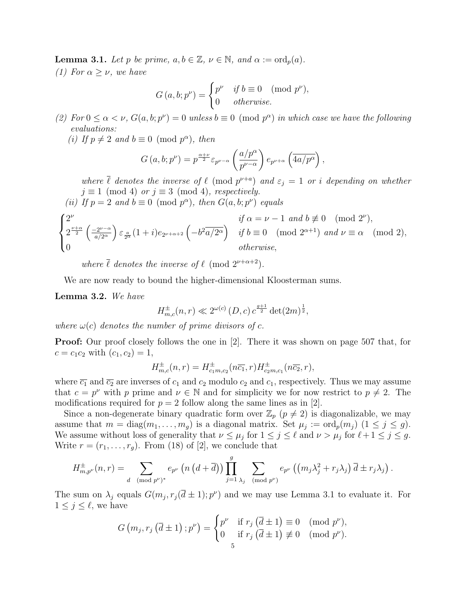**Lemma 3.1.** Let p be prime,  $a, b \in \mathbb{Z}$ ,  $\nu \in \mathbb{N}$ , and  $\alpha := \text{ord}_p(a)$ . (1) For  $\alpha > \nu$ , we have

$$
G(a, b; p^{\nu}) = \begin{cases} p^{\nu} & \text{if } b \equiv 0 \pmod{p^{\nu}}, \\ 0 & \text{otherwise.} \end{cases}
$$

- (2) For  $0 \le \alpha < \nu$ ,  $G(a, b; p^{\nu}) = 0$  unless  $b \equiv 0 \pmod{p^{\alpha}}$  in which case we have the following evaluations:
	- (i) If  $p \neq 2$  and  $b \equiv 0 \pmod{p^{\alpha}}$ , then

$$
G(a,b;p^{\nu})=p^{\frac{\alpha+\nu}{2}}\varepsilon_{p^{\nu-\alpha}}\left(\frac{a/p^{\alpha}}{p^{\nu-\alpha}}\right)e_{p^{\nu+\alpha}}\left(\overline{4a/p^{\alpha}}\right),\,
$$

where  $\overline{\ell}$  denotes the inverse of  $\ell \pmod{p^{\nu+a}}$  and  $\varepsilon_j = 1$  or i depending on whether  $j \equiv 1 \pmod{4}$  or  $j \equiv 3 \pmod{4}$ , respectively.

(ii) If  $p = 2$  and  $b \equiv 0 \pmod{p^{\alpha}}$ , then  $G(a, b; p^{\nu})$  equals

$$
\begin{cases} 2^{\nu} & \text{if } \alpha = \nu - 1 \text{ and } b \not\equiv 0 \pmod{2^{\nu}}, \\ 2^{\frac{\nu + \alpha}{2}} \left( \frac{-2^{\nu - \alpha}}{a/2^{\alpha}} \right) \varepsilon_{\frac{a}{2^{\alpha}}} (1 + i) e_{2^{\nu + \alpha + 2}} \left( -b^2 \overline{a/2^{\alpha}} \right) & \text{if } b \equiv 0 \pmod{2^{\alpha + 1}} \text{ and } \nu \equiv \alpha \pmod{2}, \\ 0 & \text{otherwise}, \end{cases}
$$

where  $\overline{\ell}$  denotes the inverse of  $\ell$  (mod  $2^{\nu+\alpha+2}$ ).

We are now ready to bound the higher-dimensional Kloosterman sums.

### Lemma 3.2. We have

$$
H_{m,c}^{\pm}(n,r) \ll 2^{\omega(c)} (D,c) c^{\frac{g+1}{2}} \det(2m)^{\frac{1}{2}},
$$

where  $\omega(c)$  denotes the number of prime divisors of c.

Proof: Our proof closely follows the one in [2]. There it was shown on page 507 that, for  $c = c_1 c_2$  with  $(c_1, c_2) = 1$ ,

$$
H_{m,c}^{\pm}(n,r) = H_{c_1m,c_2}^{\pm}(n\overline{c_1},r)H_{c_2m,c_1}^{\pm}(n\overline{c_2},r),
$$

where  $\overline{c_1}$  and  $\overline{c_2}$  are inverses of  $c_1$  and  $c_2$  modulo  $c_2$  and  $c_1$ , respectively. Thus we may assume that  $c = p^{\nu}$  with p prime and  $\nu \in \mathbb{N}$  and for simplicity we for now restrict to  $p \neq 2$ . The modifications required for  $p = 2$  follow along the same lines as in [2].

Since a non-degenerate binary quadratic form over  $\mathbb{Z}_p$  ( $p \neq 2$ ) is diagonalizable, we may assume that  $m = \text{diag}(m_1, \ldots, m_g)$  is a diagonal matrix. Set  $\mu_j := \text{ord}_p(m_j)$   $(1 \leq j \leq g)$ . We assume without loss of generality that  $\nu \leq \mu_j$  for  $1 \leq j \leq \ell$  and  $\nu > \mu_j$  for  $\ell + 1 \leq j \leq g$ . Write  $r = (r_1, \ldots, r_g)$ . From (18) of [2], we conclude that

$$
H_{m,p^{\nu}}^{\pm}(n,r)=\sum_{d\pmod{p^{\nu}}^*}e_{p^{\nu}}\left(n\left(d+\overline{d}\right)\right)\prod_{j=1}^g\sum_{\lambda_j\pmod{p^{\nu}}}e_{p^{\nu}}\left(\left(m_j\lambda_j^2+r_j\lambda_j\right)\overline{d}\pm r_j\lambda_j\right).
$$

The sum on  $\lambda_j$  equals  $G(m_j, r_j(\bar{d} \pm 1); p^{\nu})$  and we may use Lemma 3.1 to evaluate it. For  $1 \leq j \leq \ell$ , we have

$$
G(m_j, r_j(\overline{d} \pm 1); p^{\nu}) = \begin{cases} p^{\nu} & \text{if } r_j(\overline{d} \pm 1) \equiv 0 \pmod{p^{\nu}}, \\ 0 & \text{if } r_j(\overline{d} \pm 1) \not\equiv 0 \pmod{p^{\nu}}. \end{cases}
$$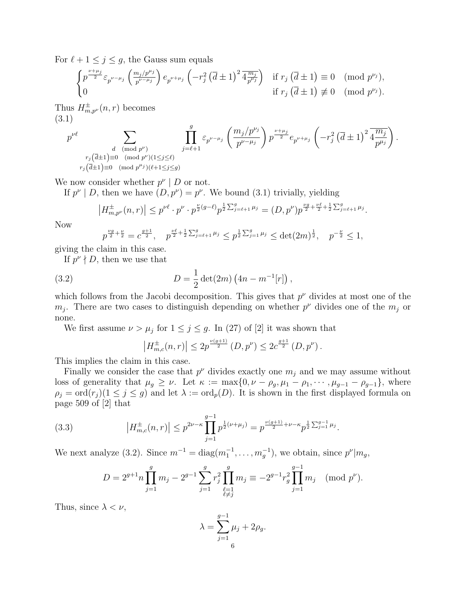For  $\ell + 1 \leq j \leq g$ , the Gauss sum equals

$$
\begin{cases} p^{\frac{\nu+\mu_j}{2}} \varepsilon_{p^{\nu-\mu_j}} \left( \frac{m_j/p^{\mu_j}}{p^{\nu-\mu_j}} \right) e_{p^{\nu+\mu_j}} \left( -r_j^2 \left( \overline{d} \pm 1 \right)^2 \overline{4 \frac{m_j}{p^{\mu_j}}} \right) & \text{if } r_j \left( \overline{d} \pm 1 \right) \equiv 0 \pmod{p^{\nu_j}}, \\ 0 & \text{if } r_j \left( \overline{d} \pm 1 \right) \not\equiv 0 \pmod{p^{\nu_j}}. \end{cases}
$$

Thus  $H_{m,p}^{\pm}(n,r)$  becomes (3.1)

$$
p^{\nu \ell} \sum_{\substack{d\pmod{p^{\nu}} \\ r_j(\overline{d}\pm 1) \equiv 0\pmod{p^{\nu}} \\ r_j(\overline{d}\pm 1) \equiv 0\pmod{p^{\mu_j}} \\ (\bmod{p^{\nu}})(1\leq j\leq \ell)}} \prod_{j=\ell+1}^{g} \varepsilon_{p^{\nu-\mu_j}} \left(\frac{m_j/p^{\nu_j}}{p^{\nu-\mu_j}}\right) p^{\frac{\nu+\mu_j}{2}} e_{p^{\nu+\mu_j}} \left(-r_j^2 \left(\overline{d}\pm 1\right)^2 \overline{4\frac{m_j}{p^{\mu_j}}}\right).
$$

We now consider whether  $p^{\nu} \mid D$  or not.

If  $p^{\nu} \mid D$ , then we have  $(D, p^{\nu}) = p^{\nu}$ . We bound (3.1) trivially, yielding

$$
\left|H^{\pm}_{m,p^{\nu}}(n,r)\right| \leq p^{\nu\ell} \cdot p^{\nu} \cdot p^{\frac{\nu}{2}(g-\ell)} p^{\frac{1}{2}\sum_{j=\ell+1}^{g} \mu_j} = (D,p^{\nu}) p^{\frac{\nu g}{2} + \frac{\nu \ell}{2} + \frac{1}{2}\sum_{j=\ell+1}^{g} \mu_j}.
$$

Now

$$
p^{\frac{\nu g}{2} + \frac{\nu}{2}} = c^{\frac{g+1}{2}}, \quad p^{\frac{\nu \ell}{2} + \frac{1}{2} \sum_{j=\ell+1}^g \mu_j} \leq p^{\frac{1}{2} \sum_{j=1}^g \mu_j} \leq \det(2m)^{\frac{1}{2}}, \quad p^{-\frac{\nu}{2}} \leq 1,
$$

giving the claim in this case.

If  $p^{\nu} \nmid D$ , then we use that

(3.2) 
$$
D = \frac{1}{2} \det(2m) \left(4n - m^{-1}[r]\right),
$$

which follows from the Jacobi decomposition. This gives that  $p^{\nu}$  divides at most one of the  $m_j$ . There are two cases to distinguish depending on whether  $p^{\nu}$  divides one of the  $m_j$  or none.

We first assume  $\nu > \mu_j$  for  $1 \leq j \leq g$ . In (27) of [2] it was shown that

$$
\left|H_{m,c}^{\pm}(n,r)\right| \leq 2p^{\frac{\nu(g+1)}{2}}\left(D,p^{\nu}\right) \leq 2c^{\frac{g+1}{2}}\left(D,p^{\nu}\right).
$$

This implies the claim in this case.

Finally we consider the case that  $p^{\nu}$  divides exactly one  $m_j$  and we may assume without loss of generality that  $\mu_g \geq \nu$ . Let  $\kappa := \max\{0, \nu - \rho_g, \mu_1 - \rho_1, \cdots, \mu_{g-1} - \rho_{g-1}\}\)$ , where  $\rho_j = \text{ord}(r_j) (1 \leq j \leq g)$  and let  $\lambda := \text{ord}_p(D)$ . It is shown in the first displayed formula on page 509 of [2] that

(3.3) 
$$
\left| H_{m,c}^{\pm}(n,r) \right| \leq p^{2\nu - \kappa} \prod_{j=1}^{g-1} p^{\frac{1}{2}(\nu + \mu_j)} = p^{\frac{\nu(g+1)}{2} + \nu - \kappa} p^{\frac{1}{2} \sum_{j=1}^{g-1} \mu_j}.
$$

We next analyze (3.2). Since  $m^{-1} = \text{diag}(m_1^{-1}, \dots, m_g^{-1})$ , we obtain, since  $p^{\nu} | m_g$ ,

$$
D = 2^{g+1} n \prod_{j=1}^{g} m_j - 2^{g-1} \sum_{\substack{j=1 \ \ell \neq j}}^{g} r_j^2 \prod_{\substack{\ell=1 \ \ell \neq j}}^{g} m_j \equiv -2^{g-1} r_g^2 \prod_{j=1}^{g-1} m_j \pmod{p^{\nu}}.
$$

Thus, since  $\lambda < \nu$ ,

$$
\lambda = \sum_{j=1}^{g-1} \mu_j + 2\rho_g.
$$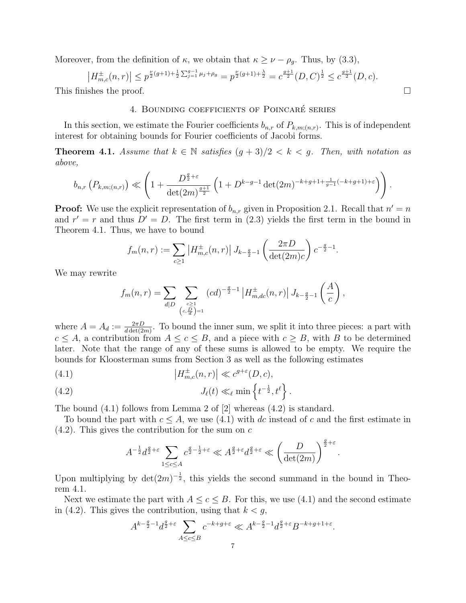Moreover, from the definition of  $\kappa$ , we obtain that  $\kappa \geq \nu - \rho_g$ . Thus, by (3.3),

$$
\left| H_{m,c}^{\pm}(n,r) \right| \le p^{\frac{\nu}{2}(g+1)+\frac{1}{2}\sum_{j=1}^{g-1}\mu_j + \rho_g} = p^{\frac{\nu}{2}(g+1)+\frac{\lambda}{2}} = c^{\frac{g+1}{2}}(D,C)^{\frac{1}{2}} \le c^{\frac{g+1}{2}}(D,c).
$$
  
This finishes the proof.

## 4. BOUNDING COEFFICIENTS OF POINCARÉ SERIES

In this section, we estimate the Fourier coefficients  $b_{n,r}$  of  $P_{k,m;(n,r)}$ . This is of independent interest for obtaining bounds for Fourier coefficients of Jacobi forms.

**Theorem 4.1.** Assume that  $k \in \mathbb{N}$  satisfies  $(q+3)/2 < k < q$ . Then, with notation as above,

$$
b_{n,r}\left(P_{k,m;(n,r)}\right) \ll \left(1+\frac{D^{\frac{g}{2}+\varepsilon}}{\det(2m)^{\frac{g+1}{2}}}\left(1+D^{k-g-1}\det(2m)^{-k+g+1+\frac{1}{g-1}(-k+g+1)+\varepsilon}\right)\right).
$$

**Proof:** We use the explicit representation of  $b_{n,r}$  given in Proposition 2.1. Recall that  $n' = n$ and  $r' = r$  and thus  $D' = D$ . The first term in (2.3) yields the first term in the bound in Theorem 4.1. Thus, we have to bound

$$
f_m(n,r) := \sum_{c \ge 1} |H_{m,c}^{\pm}(n,r)| J_{k-\frac{g}{2}-1} \left(\frac{2\pi D}{\det(2m)c}\right) c^{-\frac{g}{2}-1}.
$$

We may rewrite

$$
f_m(n,r) = \sum_{d|D} \sum_{\substack{c \ge 1 \\ (c, \frac{D}{d}) = 1}} (cd)^{-\frac{g}{2}-1} |H_{m,dc}^{\pm}(n,r)| J_{k-\frac{g}{2}-1} \left(\frac{A}{c}\right),
$$

where  $A = A_d := \frac{2\pi D}{d \det(2m)}$ . To bound the inner sum, we split it into three pieces: a part with  $c \leq A$ , a contribution from  $A \leq c \leq B$ , and a piece with  $c \geq B$ , with B to be determined later. Note that the range of any of these sums is allowed to be empty. We require the bounds for Kloosterman sums from Section 3 as well as the following estimates

(4.1) 
$$
\left|H_{m,c}^{\pm}(n,r)\right| \ll c^{g+\varepsilon}(D,c),
$$

(4.2) 
$$
J_{\ell}(t) \ll_{\ell} \min \left\{ t^{-\frac{1}{2}}, t^{\ell} \right\}.
$$

The bound (4.1) follows from Lemma 2 of [2] whereas (4.2) is standard.

To bound the part with  $c \leq A$ , we use (4.1) with dc instead of c and the first estimate in  $(4.2)$ . This gives the contribution for the sum on c

$$
A^{-\frac{1}{2}}d^{\frac{g}{2}+\varepsilon}\sum_{1\leq c\leq A}c^{\frac{g}{2}-\frac{1}{2}+\varepsilon}\ll A^{\frac{g}{2}+\varepsilon}d^{\frac{g}{2}+\varepsilon}\ll \left(\frac{D}{\det(2m)}\right)^{\frac{g}{2}+\varepsilon}
$$

.

Upon multiplying by  $\det(2m)^{-\frac{1}{2}}$ , this yields the second summand in the bound in Theorem 4.1.

Next we estimate the part with  $A \leq c \leq B$ . For this, we use (4.1) and the second estimate in (4.2). This gives the contribution, using that  $k < g$ ,

$$
A^{k-\frac{g}{2}-1}d^{\frac{g}{2}+\varepsilon}\sum_{A\leq c\leq B}c^{-k+g+\varepsilon}\ll A^{k-\frac{g}{2}-1}d^{\frac{g}{2}+\varepsilon}B^{-k+g+1+\varepsilon}.
$$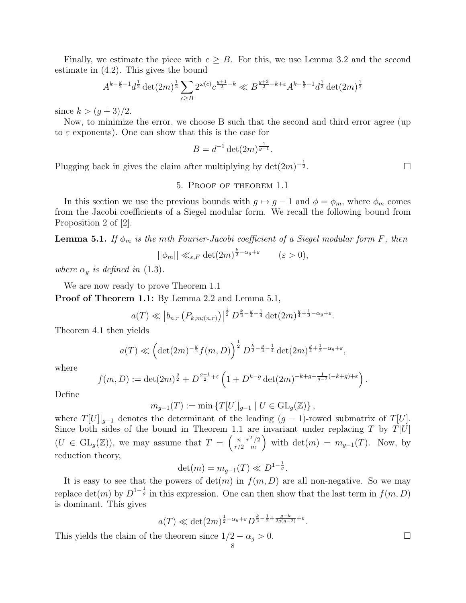Finally, we estimate the piece with  $c \geq B$ . For this, we use Lemma 3.2 and the second estimate in (4.2). This gives the bound

$$
A^{k-\frac{g}{2}-1}d^{\frac{1}{2}}\det(2m)^{\frac{1}{2}}\sum_{c\geq B}2^{\omega(c)}c^{\frac{g+1}{2}-k}\ll B^{\frac{g+3}{2}-k+\varepsilon}A^{k-\frac{g}{2}-1}d^{\frac{1}{2}}\det(2m)^{\frac{1}{2}}
$$

since  $k > (g + 3)/2$ .

Now, to minimize the error, we choose B such that the second and third error agree (up to  $\varepsilon$  exponents). One can show that this is the case for

$$
B = d^{-1} \det(2m)^{\frac{1}{g-1}}.
$$

Plugging back in gives the claim after multiplying by  $\det(2m)^{-\frac{1}{2}}$ 

### 5. Proof of theorem 1.1

In this section we use the previous bounds with  $g \mapsto g - 1$  and  $\phi = \phi_m$ , where  $\phi_m$  comes from the Jacobi coefficients of a Siegel modular form. We recall the following bound from Proposition 2 of [2].

**Lemma 5.1.** If  $\phi_m$  is the mth Fourier-Jacobi coefficient of a Siegel modular form F, then

$$
||\phi_m|| \ll_{\varepsilon,F} \det(2m)^{\frac{k}{2}-\alpha_g+\varepsilon} \qquad (\varepsilon>0),
$$

where  $\alpha_g$  is defined in (1.3).

We are now ready to prove Theorem 1.1

Proof of Theorem 1.1: By Lemma 2.2 and Lemma 5.1,

$$
a(T) \ll |b_{n,r} (P_{k,m;(n,r)})|^{\frac{1}{2}} D^{\frac{k}{2} - \frac{g}{4} - \frac{1}{4}} \det(2m)^{\frac{g}{4} + \frac{1}{2} - \alpha_g + \varepsilon}.
$$

Theorem 4.1 then yields

$$
a(T) \ll \left(\det(2m)^{-\frac{g}{2}}f(m, D)\right)^{\frac{1}{2}} D^{\frac{k}{2}-\frac{g}{4}-\frac{1}{4}} \det(2m)^{\frac{g}{4}+\frac{1}{2}-\alpha_g+\varepsilon},
$$

where

$$
f(m, D) := \det(2m)^{\frac{g}{2}} + D^{\frac{g-1}{2} + \varepsilon} \left( 1 + D^{k-g} \det(2m)^{-k+g+\frac{1}{g-2}(-k+g)+\varepsilon} \right).
$$

Define

$$
m_{g-1}(T) := \min \{ T[U] |_{g-1} \mid U \in \mathrm{GL}_g(\mathbb{Z}) \},
$$

where  $T[U]|_{q-1}$  denotes the determinant of the leading  $(q-1)$ -rowed submatrix of  $T[U]$ . Since both sides of the bound in Theorem 1.1 are invariant under replacing T by  $T[U]$  $(U \in GL_q(\mathbb{Z}))$ , we may assume that  $T = \begin{pmatrix} n & r^T/2 \\ r/2 & m \end{pmatrix}$ r/2 m with det $(m) = m_{g-1}(T)$ . Now, by reduction theory,

$$
\det(m) = m_{g-1}(T) \ll D^{1-\frac{1}{g}}.
$$

It is easy to see that the powers of  $det(m)$  in  $f(m, D)$  are all non-negative. So we may replace  $\det(m)$  by  $D^{1-\frac{1}{g}}$  in this expression. One can then show that the last term in  $f(m, D)$ is dominant. This gives

$$
a(T) \ll \det(2m)^{\frac{1}{2}-\alpha_g+\varepsilon} D^{\frac{k}{2}-\frac{1}{2}+\frac{g-k}{2g(g-2)}+\varepsilon}.
$$
  
the theorem since  $1/2 - \alpha_s > 0$ .

This yields the claim of the theorem since  $1/2 - \alpha_g > 0$ .

 $\frac{1}{2}$ .